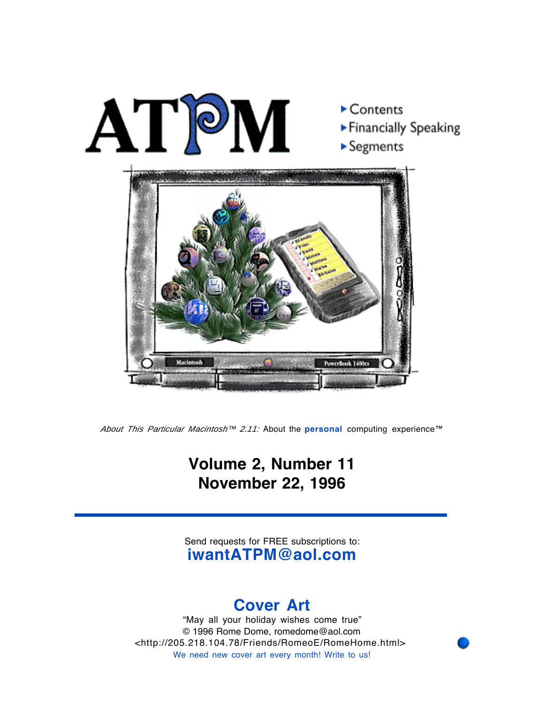

About This Particular Macintosh<sup>™</sup> 2.11: About the **personal** computing experience™

### **Volume 2, Number 11 November 22, 1996**

Send requests for FREE subscriptions to: **iwantATPM@aol.com**

### **Cover Art**

"May all your holiday wishes come true" © 1996 Rome Dome, romedome@aol.com <http://205.218.104.78/Friends/RomeoE/RomeHome.html> We need new cover art every month! Write to us!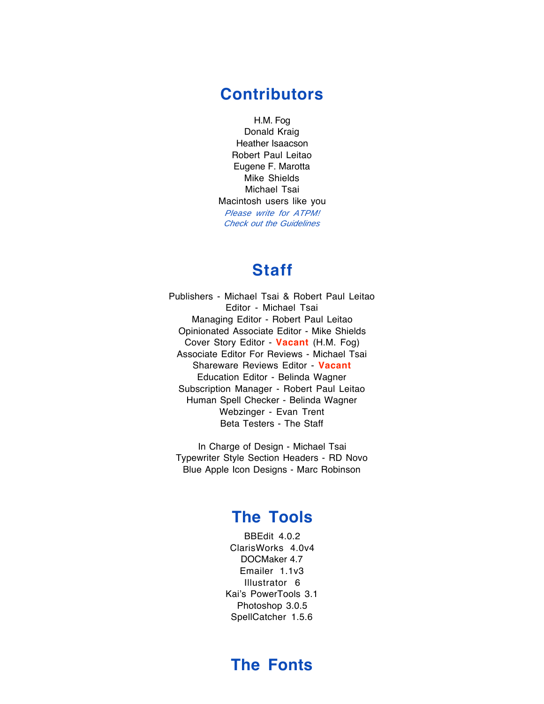#### **Contributors**

H.M. Fog Donald Kraig Heather Isaacson Robert Paul Leitao Eugene F. Marotta Mike Shields Michael Tsai Macintosh users like you Please write for ATPM! Check out the Guidelines

### **Staff**

Publishers - Michael Tsai & Robert Paul Leitao Editor - Michael Tsai Managing Editor - Robert Paul Leitao Opinionated Associate Editor - Mike Shields Cover Story Editor - **Vacant** (H.M. Fog) Associate Editor For Reviews - Michael Tsai Shareware Reviews Editor - **Vacant** Education Editor - Belinda Wagner Subscription Manager - Robert Paul Leitao Human Spell Checker - Belinda Wagner Webzinger - Evan Trent Beta Testers - The Staff

In Charge of Design - Michael Tsai Typewriter Style Section Headers - RD Novo Blue Apple Icon Designs - Marc Robinson

### **The Tools**

BBEdit 4.0.2 ClarisWorks 4.0v4 DOCMaker 4.7 Emailer 1.1v3 Illustrator 6 Kai's PowerTools 3.1 Photoshop 3.0.5 SpellCatcher 1.5.6

### **The Fonts**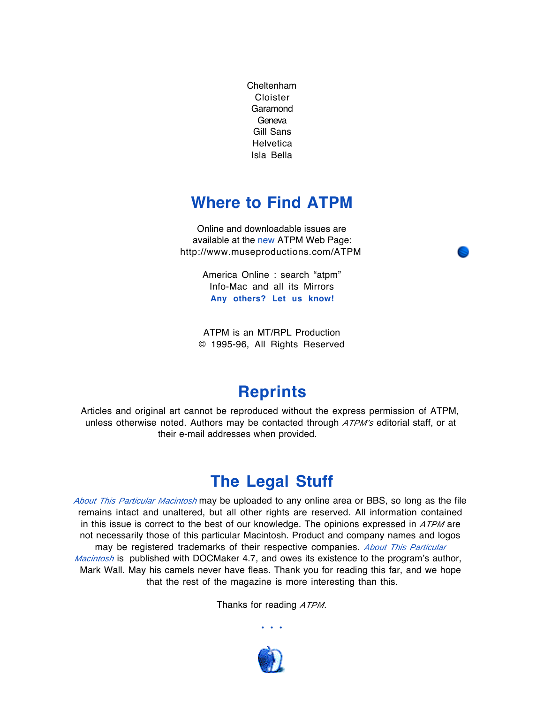Cheltenham Cloister Garamond Geneva Gill Sans **Helvetica** Isla Bella

### **Where to Find ATPM**

Online and downloadable issues are available at the new ATPM Web Page: http://www.museproductions.com/ATPM

> America Online : search "atpm" Info-Mac and all its Mirrors **Any others? Let us know!**

ATPM is an MT/RPL Production © 1995-96, All Rights Reserved

### **Reprints**

Articles and original art cannot be reproduced without the express permission of ATPM, unless otherwise noted. Authors may be contacted through ATPM's editorial staff, or at their e-mail addresses when provided.

### **The Legal Stuff**

About This Particular Macintosh may be uploaded to any online area or BBS, so long as the file remains intact and unaltered, but all other rights are reserved. All information contained in this issue is correct to the best of our knowledge. The opinions expressed in ATPM are not necessarily those of this particular Macintosh. Product and company names and logos may be registered trademarks of their respective companies. About This Particular *Macintosh* is published with DOCMaker 4.7, and owes its existence to the program's author, Mark Wall. May his camels never have fleas. Thank you for reading this far, and we hope that the rest of the magazine is more interesting than this.

Thanks for reading ATPM.

• • •

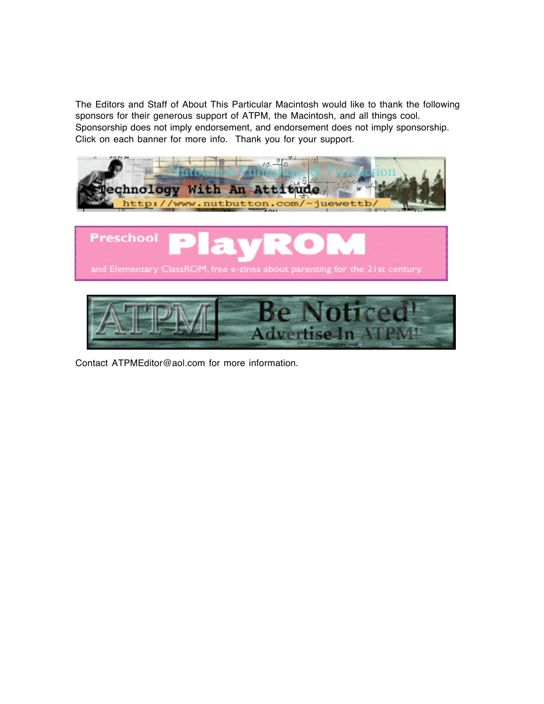The Editors and Staff of About This Particular Macintosh would like to thank the following sponsors for their generous support of ATPM, the Macintosh, and all things cool. Sponsorship does not imply endorsement, and endorsement does not imply sponsorship. Click on each banner for more info. Thank you for your support.







Contact ATPMEditor@aol.com for more information.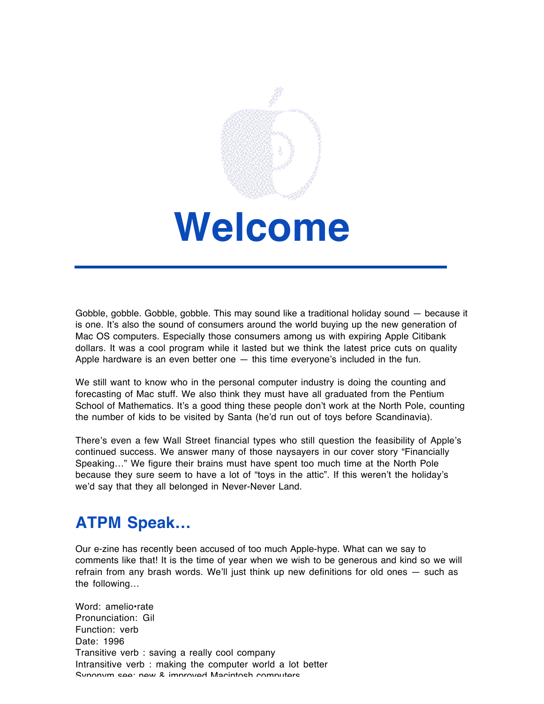

## **Welcome**

Gobble, gobble. Gobble, gobble. This may sound like a traditional holiday sound — because it is one. It's also the sound of consumers around the world buying up the new generation of Mac OS computers. Especially those consumers among us with expiring Apple Citibank dollars. It was a cool program while it lasted but we think the latest price cuts on quality Apple hardware is an even better one  $-$  this time everyone's included in the fun.

We still want to know who in the personal computer industry is doing the counting and forecasting of Mac stuff. We also think they must have all graduated from the Pentium School of Mathematics. It's a good thing these people don't work at the North Pole, counting the number of kids to be visited by Santa (he'd run out of toys before Scandinavia).

There's even a few Wall Street financial types who still question the feasibility of Apple's continued success. We answer many of those naysayers in our cover story "Financially Speaking…" We figure their brains must have spent too much time at the North Pole because they sure seem to have a lot of "toys in the attic". If this weren't the holiday's we'd say that they all belonged in Never-Never Land.

### **ATPM Speak…**

Our e-zine has recently been accused of too much Apple-hype. What can we say to comments like that! It is the time of year when we wish to be generous and kind so we will refrain from any brash words. We'll just think up new definitions for old ones — such as the following…

Word: amelio•rate Pronunciation: Gil Function: verb Date: 1996 Transitive verb : saving a really cool company Intransitive verb : making the computer world a lot better Synonym see: new & improved Macintosh computers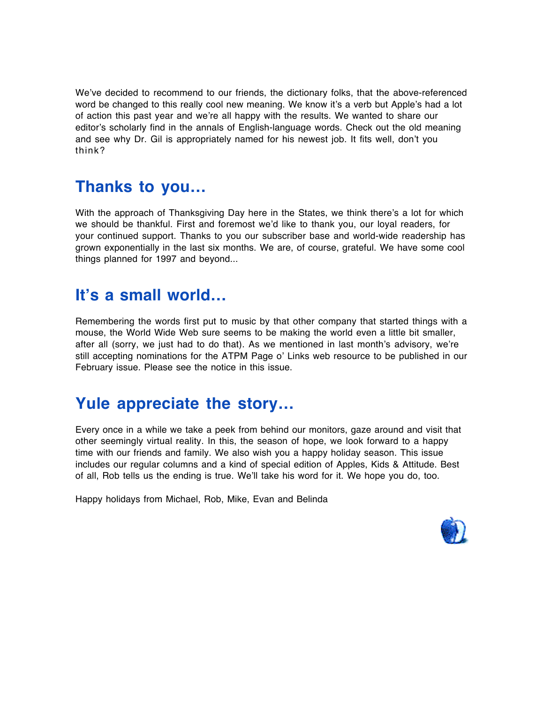We've decided to recommend to our friends, the dictionary folks, that the above-referenced word be changed to this really cool new meaning. We know it's a verb but Apple's had a lot of action this past year and we're all happy with the results. We wanted to share our editor's scholarly find in the annals of English-language words. Check out the old meaning and see why Dr. Gil is appropriately named for his newest job. It fits well, don't you think?

### **Thanks to you…**

With the approach of Thanksgiving Day here in the States, we think there's a lot for which we should be thankful. First and foremost we'd like to thank you, our loyal readers, for your continued support. Thanks to you our subscriber base and world-wide readership has grown exponentially in the last six months. We are, of course, grateful. We have some cool things planned for 1997 and beyond...

### **It's a small world…**

Remembering the words first put to music by that other company that started things with a mouse, the World Wide Web sure seems to be making the world even a little bit smaller, after all (sorry, we just had to do that). As we mentioned in last month's advisory, we're still accepting nominations for the ATPM Page o' Links web resource to be published in our February issue. Please see the notice in this issue.

### **Yule appreciate the story…**

Every once in a while we take a peek from behind our monitors, gaze around and visit that other seemingly virtual reality. In this, the season of hope, we look forward to a happy time with our friends and family. We also wish you a happy holiday season. This issue includes our regular columns and a kind of special edition of Apples, Kids & Attitude. Best of all, Rob tells us the ending is true. We'll take his word for it. We hope you do, too.

Happy holidays from Michael, Rob, Mike, Evan and Belinda

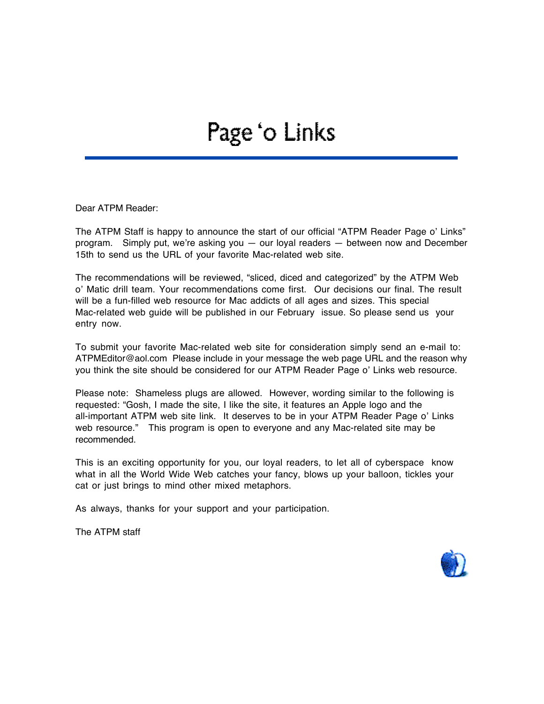### Page 'o Links

Dear ATPM Reader:

The ATPM Staff is happy to announce the start of our official "ATPM Reader Page o' Links" program. Simply put, we're asking you — our loyal readers — between now and December 15th to send us the URL of your favorite Mac-related web site.

The recommendations will be reviewed, "sliced, diced and categorized" by the ATPM Web o' Matic drill team. Your recommendations come first. Our decisions our final. The result will be a fun-filled web resource for Mac addicts of all ages and sizes. This special Mac-related web guide will be published in our February issue. So please send us your entry now.

To submit your favorite Mac-related web site for consideration simply send an e-mail to: ATPMEditor@aol.com Please include in your message the web page URL and the reason why you think the site should be considered for our ATPM Reader Page o' Links web resource.

Please note: Shameless plugs are allowed. However, wording similar to the following is requested: "Gosh, I made the site, I like the site, it features an Apple logo and the all-important ATPM web site link. It deserves to be in your ATPM Reader Page o' Links web resource." This program is open to everyone and any Mac-related site may be recommended.

This is an exciting opportunity for you, our loyal readers, to let all of cyberspace know what in all the World Wide Web catches your fancy, blows up your balloon, tickles your cat or just brings to mind other mixed metaphors.

As always, thanks for your support and your participation.

The ATPM staff

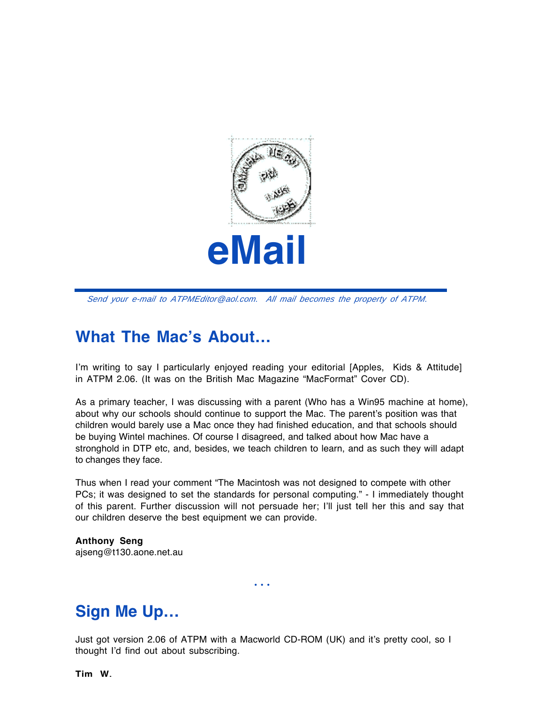

Send your e-mail to ATPMEditor@aol.com. All mail becomes the property of ATPM.

### **What The Mac's About…**

I'm writing to say I particularly enjoyed reading your editorial [Apples, Kids & Attitude] in ATPM 2.06. (It was on the British Mac Magazine "MacFormat" Cover CD).

As a primary teacher, I was discussing with a parent (Who has a Win95 machine at home), about why our schools should continue to support the Mac. The parent's position was that children would barely use a Mac once they had finished education, and that schools should be buying Wintel machines. Of course I disagreed, and talked about how Mac have a stronghold in DTP etc, and, besides, we teach children to learn, and as such they will adapt to changes they face.

Thus when I read your comment "The Macintosh was not designed to compete with other PCs; it was designed to set the standards for personal computing." - I immediately thought of this parent. Further discussion will not persuade her; I'll just tell her this and say that our children deserve the best equipment we can provide.

**Anthony Seng** ajseng@t130.aone.net.au

**Sign Me Up…**

Just got version 2.06 of ATPM with a Macworld CD-ROM (UK) and it's pretty cool, so I thought I'd find out about subscribing.

• • •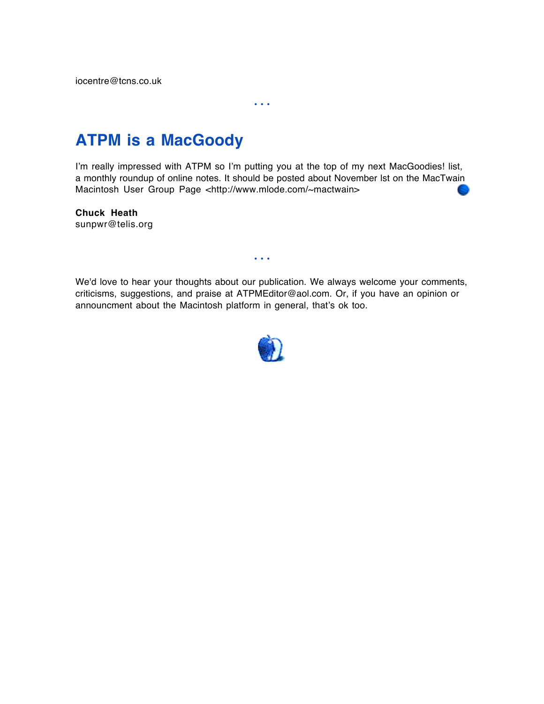iocentre@tcns.co.uk

### **ATPM is a MacGoody**

I'm really impressed with ATPM so I'm putting you at the top of my next MacGoodies! list, a monthly roundup of online notes. It should be posted about November lst on the MacTwain Macintosh User Group Page <http://www.mlode.com/~mactwain>

• • •

**Chuck Heath** sunpwr@telis.org

We'd love to hear your thoughts about our publication. We always welcome your comments, criticisms, suggestions, and praise at ATPMEditor@aol.com. Or, if you have an opinion or announcment about the Macintosh platform in general, that's ok too.

• • •

![](_page_9_Picture_5.jpeg)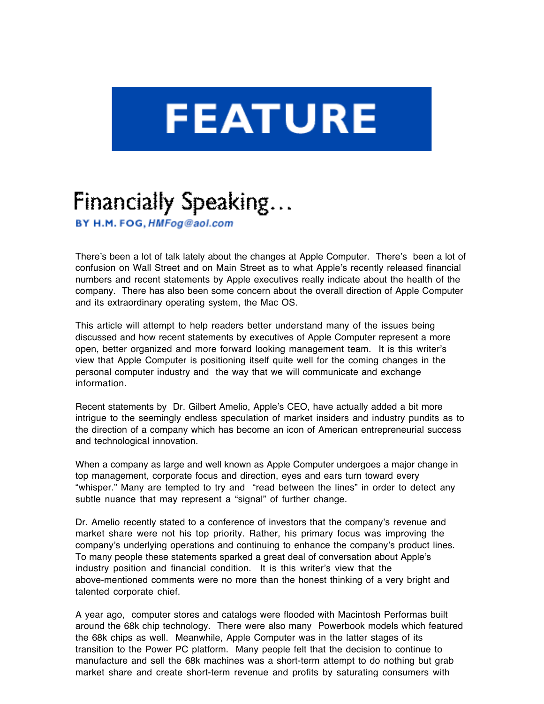# **FEATURE**

### Financially Speaking...

BY H.M. FOG, HMFog@aol.com

There's been a lot of talk lately about the changes at Apple Computer. There's been a lot of confusion on Wall Street and on Main Street as to what Apple's recently released financial numbers and recent statements by Apple executives really indicate about the health of the company. There has also been some concern about the overall direction of Apple Computer and its extraordinary operating system, the Mac OS.

This article will attempt to help readers better understand many of the issues being discussed and how recent statements by executives of Apple Computer represent a more open, better organized and more forward looking management team. It is this writer's view that Apple Computer is positioning itself quite well for the coming changes in the personal computer industry and the way that we will communicate and exchange information.

Recent statements by Dr. Gilbert Amelio, Apple's CEO, have actually added a bit more intrigue to the seemingly endless speculation of market insiders and industry pundits as to the direction of a company which has become an icon of American entrepreneurial success and technological innovation.

When a company as large and well known as Apple Computer undergoes a major change in top management, corporate focus and direction, eyes and ears turn toward every "whisper." Many are tempted to try and "read between the lines" in order to detect any subtle nuance that may represent a "signal" of further change.

Dr. Amelio recently stated to a conference of investors that the company's revenue and market share were not his top priority. Rather, his primary focus was improving the company's underlying operations and continuing to enhance the company's product lines. To many people these statements sparked a great deal of conversation about Apple's industry position and financial condition. It is this writer's view that the above-mentioned comments were no more than the honest thinking of a very bright and talented corporate chief.

A year ago, computer stores and catalogs were flooded with Macintosh Performas built around the 68k chip technology. There were also many Powerbook models which featured the 68k chips as well. Meanwhile, Apple Computer was in the latter stages of its transition to the Power PC platform. Many people felt that the decision to continue to manufacture and sell the 68k machines was a short-term attempt to do nothing but grab market share and create short-term revenue and profits by saturating consumers with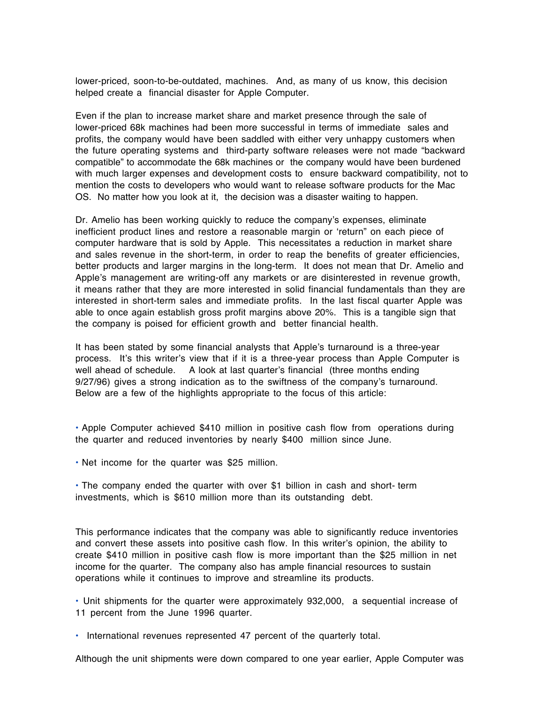lower-priced, soon-to-be-outdated, machines. And, as many of us know, this decision helped create a financial disaster for Apple Computer.

Even if the plan to increase market share and market presence through the sale of lower-priced 68k machines had been more successful in terms of immediate sales and profits, the company would have been saddled with either very unhappy customers when the future operating systems and third-party software releases were not made "backward compatible" to accommodate the 68k machines or the company would have been burdened with much larger expenses and development costs to ensure backward compatibility, not to mention the costs to developers who would want to release software products for the Mac OS. No matter how you look at it, the decision was a disaster waiting to happen.

Dr. Amelio has been working quickly to reduce the company's expenses, eliminate inefficient product lines and restore a reasonable margin or 'return" on each piece of computer hardware that is sold by Apple. This necessitates a reduction in market share and sales revenue in the short-term, in order to reap the benefits of greater efficiencies, better products and larger margins in the long-term. It does not mean that Dr. Amelio and Apple's management are writing-off any markets or are disinterested in revenue growth, it means rather that they are more interested in solid financial fundamentals than they are interested in short-term sales and immediate profits. In the last fiscal quarter Apple was able to once again establish gross profit margins above 20%. This is a tangible sign that the company is poised for efficient growth and better financial health.

It has been stated by some financial analysts that Apple's turnaround is a three-year process. It's this writer's view that if it is a three-year process than Apple Computer is well ahead of schedule. A look at last quarter's financial (three months ending 9/27/96) gives a strong indication as to the swiftness of the company's turnaround. Below are a few of the highlights appropriate to the focus of this article:

• Apple Computer achieved \$410 million in positive cash flow from operations during the quarter and reduced inventories by nearly \$400 million since June.

• Net income for the quarter was \$25 million.

• The company ended the quarter with over \$1 billion in cash and short- term investments, which is \$610 million more than its outstanding debt.

This performance indicates that the company was able to significantly reduce inventories and convert these assets into positive cash flow. In this writer's opinion, the ability to create \$410 million in positive cash flow is more important than the \$25 million in net income for the quarter. The company also has ample financial resources to sustain operations while it continues to improve and streamline its products.

• Unit shipments for the quarter were approximately 932,000, a sequential increase of 11 percent from the June 1996 quarter.

• International revenues represented 47 percent of the quarterly total.

Although the unit shipments were down compared to one year earlier, Apple Computer was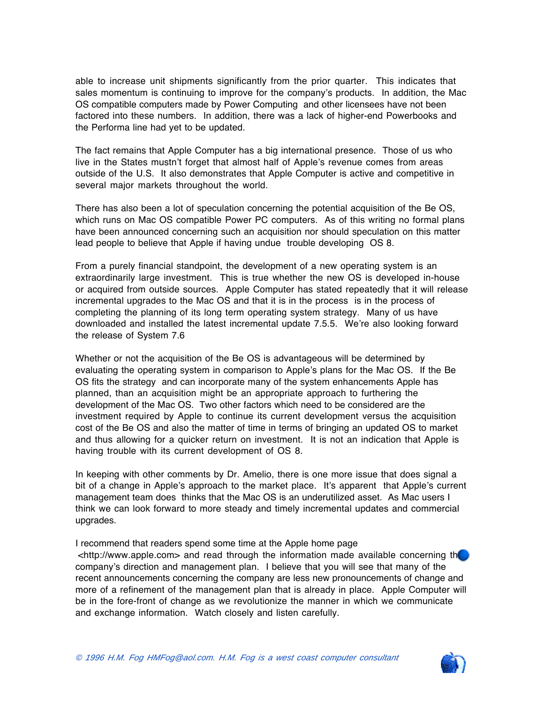able to increase unit shipments significantly from the prior quarter. This indicates that sales momentum is continuing to improve for the company's products. In addition, the Mac OS compatible computers made by Power Computing and other licensees have not been factored into these numbers. In addition, there was a lack of higher-end Powerbooks and the Performa line had yet to be updated.

The fact remains that Apple Computer has a big international presence. Those of us who live in the States mustn't forget that almost half of Apple's revenue comes from areas outside of the U.S. It also demonstrates that Apple Computer is active and competitive in several major markets throughout the world.

There has also been a lot of speculation concerning the potential acquisition of the Be OS, which runs on Mac OS compatible Power PC computers. As of this writing no formal plans have been announced concerning such an acquisition nor should speculation on this matter lead people to believe that Apple if having undue trouble developing OS 8.

From a purely financial standpoint, the development of a new operating system is an extraordinarily large investment. This is true whether the new OS is developed in-house or acquired from outside sources. Apple Computer has stated repeatedly that it will release incremental upgrades to the Mac OS and that it is in the process is in the process of completing the planning of its long term operating system strategy. Many of us have downloaded and installed the latest incremental update 7.5.5. We're also looking forward the release of System 7.6

Whether or not the acquisition of the Be OS is advantageous will be determined by evaluating the operating system in comparison to Apple's plans for the Mac OS. If the Be OS fits the strategy and can incorporate many of the system enhancements Apple has planned, than an acquisition might be an appropriate approach to furthering the development of the Mac OS. Two other factors which need to be considered are the investment required by Apple to continue its current development versus the acquisition cost of the Be OS and also the matter of time in terms of bringing an updated OS to market and thus allowing for a quicker return on investment. It is not an indication that Apple is having trouble with its current development of OS 8.

In keeping with other comments by Dr. Amelio, there is one more issue that does signal a bit of a change in Apple's approach to the market place. It's apparent that Apple's current management team does thinks that the Mac OS is an underutilized asset. As Mac users I think we can look forward to more steady and timely incremental updates and commercial upgrades.

#### I recommend that readers spend some time at the Apple home page

<http://www.apple.com> and read through the information made available concerning the company's direction and management plan. I believe that you will see that many of the recent announcements concerning the company are less new pronouncements of change and more of a refinement of the management plan that is already in place. Apple Computer will be in the fore-front of change as we revolutionize the manner in which we communicate and exchange information. Watch closely and listen carefully.

![](_page_12_Picture_9.jpeg)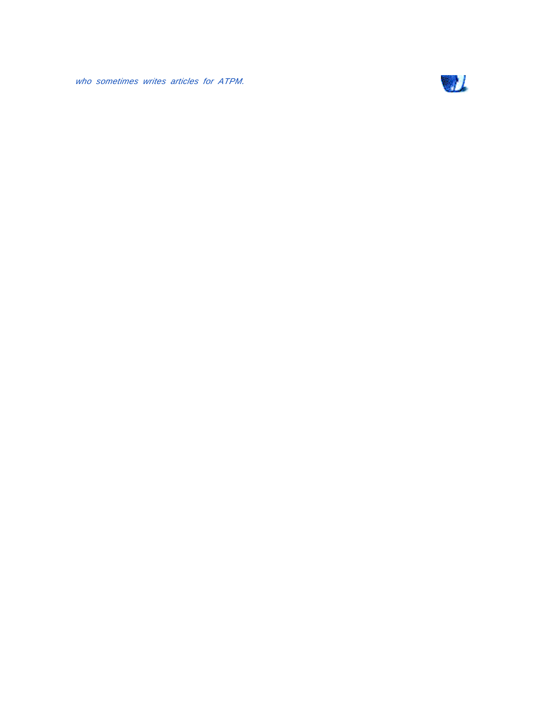who sometimes writes articles for ATPM.

![](_page_13_Picture_1.jpeg)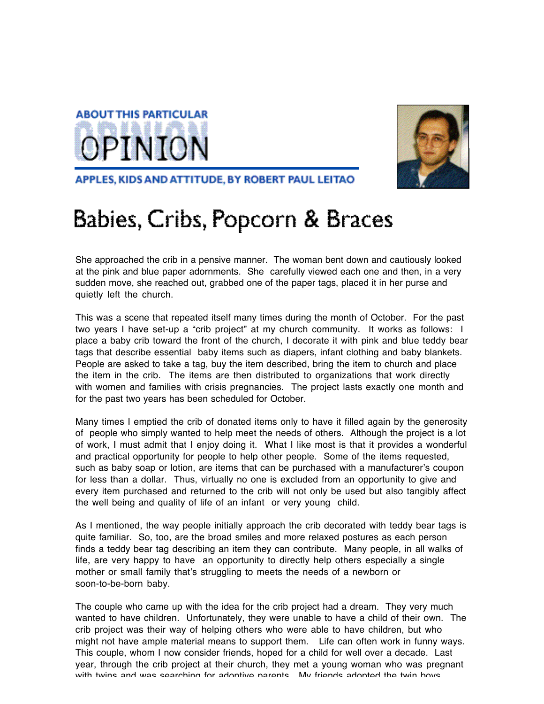![](_page_14_Picture_0.jpeg)

![](_page_14_Picture_1.jpeg)

APPLES, KIDS AND ATTITUDE, BY ROBERT PAUL LEITAO

### Babies, Cribs, Popcorn & Braces

She approached the crib in a pensive manner. The woman bent down and cautiously looked at the pink and blue paper adornments. She carefully viewed each one and then, in a very sudden move, she reached out, grabbed one of the paper tags, placed it in her purse and quietly left the church.

This was a scene that repeated itself many times during the month of October. For the past two years I have set-up a "crib project" at my church community. It works as follows: I place a baby crib toward the front of the church, I decorate it with pink and blue teddy bear tags that describe essential baby items such as diapers, infant clothing and baby blankets. People are asked to take a tag, buy the item described, bring the item to church and place the item in the crib. The items are then distributed to organizations that work directly with women and families with crisis pregnancies. The project lasts exactly one month and for the past two years has been scheduled for October.

Many times I emptied the crib of donated items only to have it filled again by the generosity of people who simply wanted to help meet the needs of others. Although the project is a lot of work, I must admit that I enjoy doing it. What I like most is that it provides a wonderful and practical opportunity for people to help other people. Some of the items requested, such as baby soap or lotion, are items that can be purchased with a manufacturer's coupon for less than a dollar. Thus, virtually no one is excluded from an opportunity to give and every item purchased and returned to the crib will not only be used but also tangibly affect the well being and quality of life of an infant or very young child.

As I mentioned, the way people initially approach the crib decorated with teddy bear tags is quite familiar. So, too, are the broad smiles and more relaxed postures as each person finds a teddy bear tag describing an item they can contribute. Many people, in all walks of life, are very happy to have an opportunity to directly help others especially a single mother or small family that's struggling to meets the needs of a newborn or soon-to-be-born baby.

The couple who came up with the idea for the crib project had a dream. They very much wanted to have children. Unfortunately, they were unable to have a child of their own. The crib project was their way of helping others who were able to have children, but who might not have ample material means to support them. Life can often work in funny ways. This couple, whom I now consider friends, hoped for a child for well over a decade. Last year, through the crib project at their church, they met a young woman who was pregnant with twine and was searching for adontive parents My friends adopted the twin hove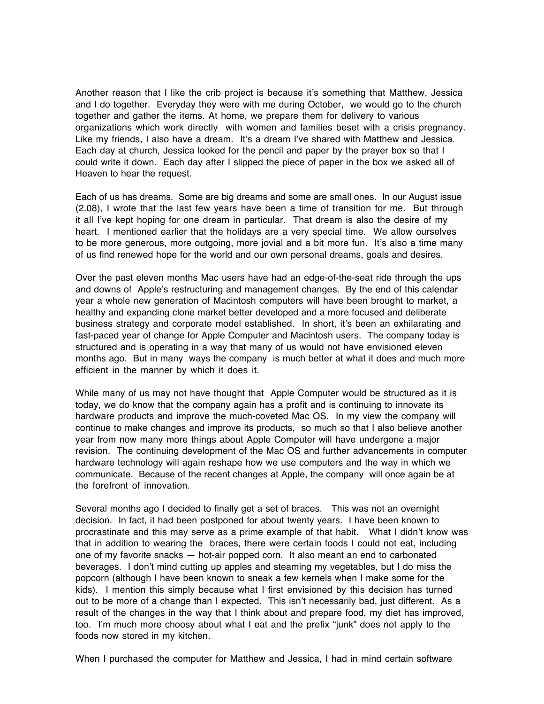Another reason that I like the crib project is because it's something that Matthew, Jessica and I do together. Everyday they were with me during October, we would go to the church together and gather the items. At home, we prepare them for delivery to various organizations which work directly with women and families beset with a crisis pregnancy. Like my friends, I also have a dream. It's a dream I've shared with Matthew and Jessica. Each day at church, Jessica looked for the pencil and paper by the prayer box so that I could write it down. Each day after I slipped the piece of paper in the box we asked all of Heaven to hear the request.

Each of us has dreams. Some are big dreams and some are small ones. In our August issue (2.08), I wrote that the last few years have been a time of transition for me. But through it all I've kept hoping for one dream in particular. That dream is also the desire of my heart. I mentioned earlier that the holidays are a very special time. We allow ourselves to be more generous, more outgoing, more jovial and a bit more fun. It's also a time many of us find renewed hope for the world and our own personal dreams, goals and desires.

Over the past eleven months Mac users have had an edge-of-the-seat ride through the ups and downs of Apple's restructuring and management changes. By the end of this calendar year a whole new generation of Macintosh computers will have been brought to market, a healthy and expanding clone market better developed and a more focused and deliberate business strategy and corporate model established. In short, it's been an exhilarating and fast-paced year of change for Apple Computer and Macintosh users. The company today is structured and is operating in a way that many of us would not have envisioned eleven months ago. But in many ways the company is much better at what it does and much more efficient in the manner by which it does it.

While many of us may not have thought that Apple Computer would be structured as it is today, we do know that the company again has a profit and is continuing to innovate its hardware products and improve the much-coveted Mac OS. In my view the company will continue to make changes and improve its products, so much so that I also believe another year from now many more things about Apple Computer will have undergone a major revision. The continuing development of the Mac OS and further advancements in computer hardware technology will again reshape how we use computers and the way in which we communicate. Because of the recent changes at Apple, the company will once again be at the forefront of innovation.

Several months ago I decided to finally get a set of braces. This was not an overnight decision. In fact, it had been postponed for about twenty years. I have been known to procrastinate and this may serve as a prime example of that habit. What I didn't know was that in addition to wearing the braces, there were certain foods I could not eat, including one of my favorite snacks — hot-air popped corn. It also meant an end to carbonated beverages. I don't mind cutting up apples and steaming my vegetables, but I do miss the popcorn (although I have been known to sneak a few kernels when I make some for the kids). I mention this simply because what I first envisioned by this decision has turned out to be more of a change than I expected. This isn't necessarily bad, just different. As a result of the changes in the way that I think about and prepare food, my diet has improved, too. I'm much more choosy about what I eat and the prefix "junk" does not apply to the foods now stored in my kitchen.

When I purchased the computer for Matthew and Jessica, I had in mind certain software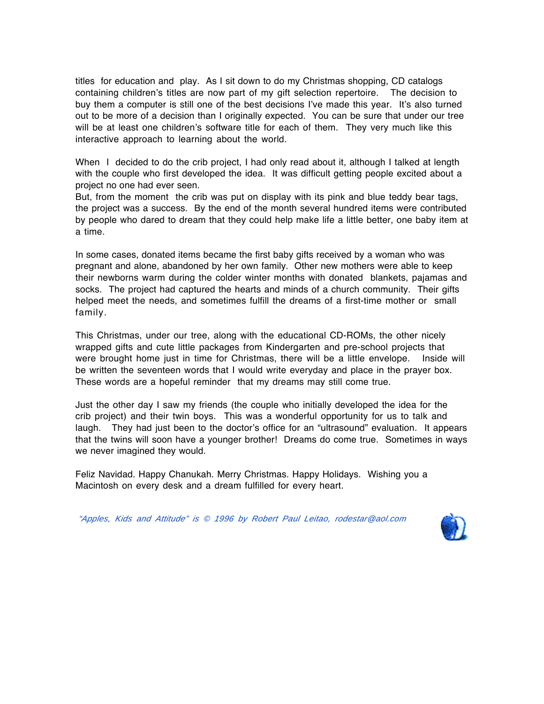titles for education and play. As I sit down to do my Christmas shopping, CD catalogs containing children's titles are now part of my gift selection repertoire. The decision to buy them a computer is still one of the best decisions I've made this year. It's also turned out to be more of a decision than I originally expected. You can be sure that under our tree will be at least one children's software title for each of them. They very much like this interactive approach to learning about the world.

When I decided to do the crib project, I had only read about it, although I talked at length with the couple who first developed the idea. It was difficult getting people excited about a project no one had ever seen.

But, from the moment the crib was put on display with its pink and blue teddy bear tags, the project was a success. By the end of the month several hundred items were contributed by people who dared to dream that they could help make life a little better, one baby item at a time.

In some cases, donated items became the first baby gifts received by a woman who was pregnant and alone, abandoned by her own family. Other new mothers were able to keep their newborns warm during the colder winter months with donated blankets, pajamas and socks. The project had captured the hearts and minds of a church community. Their gifts helped meet the needs, and sometimes fulfill the dreams of a first-time mother or small family.

This Christmas, under our tree, along with the educational CD-ROMs, the other nicely wrapped gifts and cute little packages from Kindergarten and pre-school projects that were brought home just in time for Christmas, there will be a little envelope. Inside will be written the seventeen words that I would write everyday and place in the prayer box. These words are a hopeful reminder that my dreams may still come true.

Just the other day I saw my friends (the couple who initially developed the idea for the crib project) and their twin boys. This was a wonderful opportunity for us to talk and laugh. They had just been to the doctor's office for an "ultrasound" evaluation. It appears that the twins will soon have a younger brother! Dreams do come true. Sometimes in ways we never imagined they would.

Feliz Navidad. Happy Chanukah. Merry Christmas. Happy Holidays. Wishing you a Macintosh on every desk and a dream fulfilled for every heart.

"Apples, Kids and Attitude" is © 1996 by Robert Paul Leitao, rodestar@aol.com

![](_page_16_Picture_8.jpeg)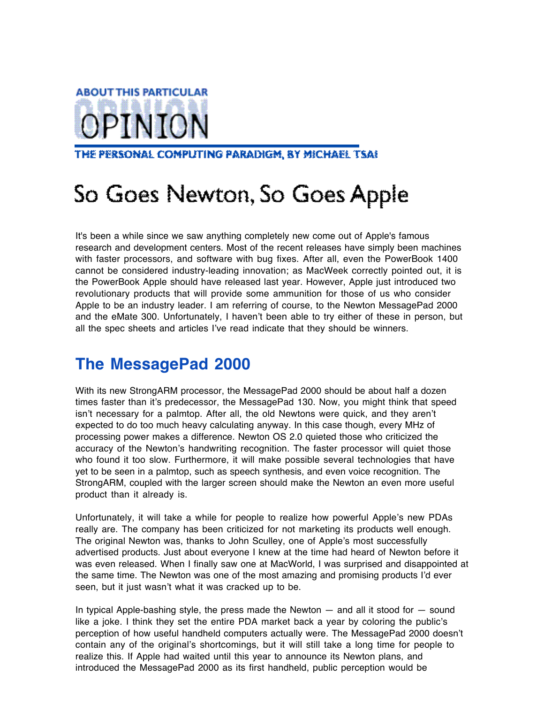### **ABOUT THIS PARTICULAR** OPINION

THE PERSONAL COMPUTING PARADIGM, BY MICHAEL TSAI

### So Goes Newton, So Goes Apple

It's been a while since we saw anything completely new come out of Apple's famous research and development centers. Most of the recent releases have simply been machines with faster processors, and software with bug fixes. After all, even the PowerBook 1400 cannot be considered industry-leading innovation; as MacWeek correctly pointed out, it is the PowerBook Apple should have released last year. However, Apple just introduced two revolutionary products that will provide some ammunition for those of us who consider Apple to be an industry leader. I am referring of course, to the Newton MessagePad 2000 and the eMate 300. Unfortunately, I haven't been able to try either of these in person, but all the spec sheets and articles I've read indicate that they should be winners.

### **The MessagePad 2000**

With its new StrongARM processor, the MessagePad 2000 should be about half a dozen times faster than it's predecessor, the MessagePad 130. Now, you might think that speed isn't necessary for a palmtop. After all, the old Newtons were quick, and they aren't expected to do too much heavy calculating anyway. In this case though, every MHz of processing power makes a difference. Newton OS 2.0 quieted those who criticized the accuracy of the Newton's handwriting recognition. The faster processor will quiet those who found it too slow. Furthermore, it will make possible several technologies that have yet to be seen in a palmtop, such as speech synthesis, and even voice recognition. The StrongARM, coupled with the larger screen should make the Newton an even more useful product than it already is.

Unfortunately, it will take a while for people to realize how powerful Apple's new PDAs really are. The company has been criticized for not marketing its products well enough. The original Newton was, thanks to John Sculley, one of Apple's most successfully advertised products. Just about everyone I knew at the time had heard of Newton before it was even released. When I finally saw one at MacWorld, I was surprised and disappointed at the same time. The Newton was one of the most amazing and promising products I'd ever seen, but it just wasn't what it was cracked up to be.

In typical Apple-bashing style, the press made the Newton  $-$  and all it stood for  $-$  sound like a joke. I think they set the entire PDA market back a year by coloring the public's perception of how useful handheld computers actually were. The MessagePad 2000 doesn't contain any of the original's shortcomings, but it will still take a long time for people to realize this. If Apple had waited until this year to announce its Newton plans, and introduced the MessagePad 2000 as its first handheld, public perception would be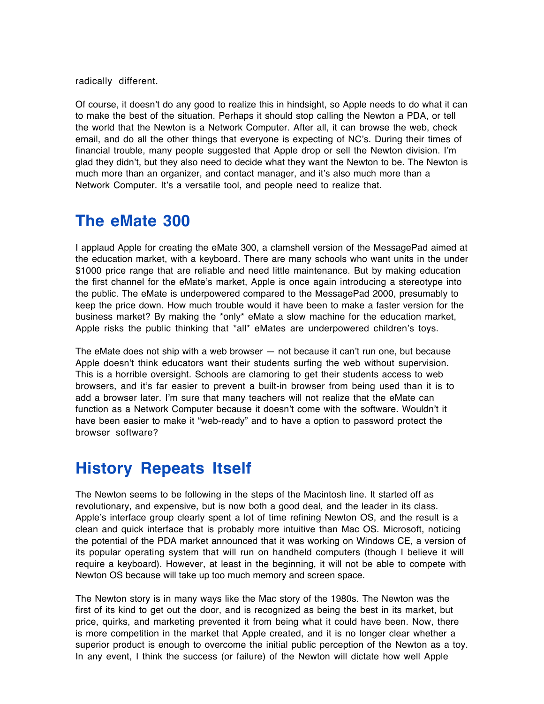radically different.

Of course, it doesn't do any good to realize this in hindsight, so Apple needs to do what it can to make the best of the situation. Perhaps it should stop calling the Newton a PDA, or tell the world that the Newton is a Network Computer. After all, it can browse the web, check email, and do all the other things that everyone is expecting of NC's. During their times of financial trouble, many people suggested that Apple drop or sell the Newton division. I'm glad they didn't, but they also need to decide what they want the Newton to be. The Newton is much more than an organizer, and contact manager, and it's also much more than a Network Computer. It's a versatile tool, and people need to realize that.

### **The eMate 300**

I applaud Apple for creating the eMate 300, a clamshell version of the MessagePad aimed at the education market, with a keyboard. There are many schools who want units in the under \$1000 price range that are reliable and need little maintenance. But by making education the first channel for the eMate's market, Apple is once again introducing a stereotype into the public. The eMate is underpowered compared to the MessagePad 2000, presumably to keep the price down. How much trouble would it have been to make a faster version for the business market? By making the \*only\* eMate a slow machine for the education market, Apple risks the public thinking that \*all\* eMates are underpowered children's toys.

The eMate does not ship with a web browser — not because it can't run one, but because Apple doesn't think educators want their students surfing the web without supervision. This is a horrible oversight. Schools are clamoring to get their students access to web browsers, and it's far easier to prevent a built-in browser from being used than it is to add a browser later. I'm sure that many teachers will not realize that the eMate can function as a Network Computer because it doesn't come with the software. Wouldn't it have been easier to make it "web-ready" and to have a option to password protect the browser software?

### **History Repeats Itself**

The Newton seems to be following in the steps of the Macintosh line. It started off as revolutionary, and expensive, but is now both a good deal, and the leader in its class. Apple's interface group clearly spent a lot of time refining Newton OS, and the result is a clean and quick interface that is probably more intuitive than Mac OS. Microsoft, noticing the potential of the PDA market announced that it was working on Windows CE, a version of its popular operating system that will run on handheld computers (though I believe it will require a keyboard). However, at least in the beginning, it will not be able to compete with Newton OS because will take up too much memory and screen space.

The Newton story is in many ways like the Mac story of the 1980s. The Newton was the first of its kind to get out the door, and is recognized as being the best in its market, but price, quirks, and marketing prevented it from being what it could have been. Now, there is more competition in the market that Apple created, and it is no longer clear whether a superior product is enough to overcome the initial public perception of the Newton as a toy. In any event, I think the success (or failure) of the Newton will dictate how well Apple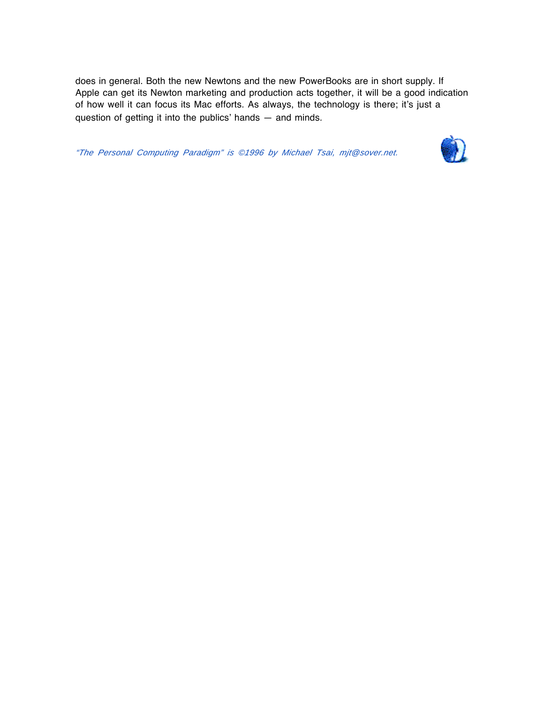does in general. Both the new Newtons and the new PowerBooks are in short supply. If Apple can get its Newton marketing and production acts together, it will be a good indication of how well it can focus its Mac efforts. As always, the technology is there; it's just a question of getting it into the publics' hands — and minds.

"The Personal Computing Paradigm" is ©1996 by Michael Tsai, mjt@sover.net.

![](_page_19_Picture_2.jpeg)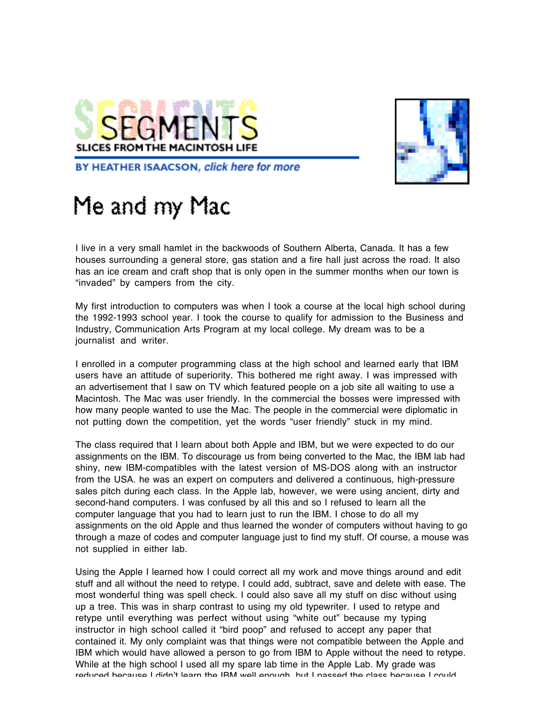![](_page_20_Picture_0.jpeg)

![](_page_20_Picture_1.jpeg)

BY HEATHER ISAACSON, click here for more

### Me and my Mac

I live in a very small hamlet in the backwoods of Southern Alberta, Canada. It has a few houses surrounding a general store, gas station and a fire hall just across the road. It also has an ice cream and craft shop that is only open in the summer months when our town is "invaded" by campers from the city.

My first introduction to computers was when I took a course at the local high school during the 1992-1993 school year. I took the course to qualify for admission to the Business and Industry, Communication Arts Program at my local college. My dream was to be a journalist and writer.

I enrolled in a computer programming class at the high school and learned early that IBM users have an attitude of superiority. This bothered me right away. I was impressed with an advertisement that I saw on TV which featured people on a job site all waiting to use a Macintosh. The Mac was user friendly. In the commercial the bosses were impressed with how many people wanted to use the Mac. The people in the commercial were diplomatic in not putting down the competition, yet the words "user friendly" stuck in my mind.

The class required that I learn about both Apple and IBM, but we were expected to do our assignments on the IBM. To discourage us from being converted to the Mac, the IBM lab had shiny, new IBM-compatibles with the latest version of MS-DOS along with an instructor from the USA. he was an expert on computers and delivered a continuous, high-pressure sales pitch during each class. In the Apple lab, however, we were using ancient, dirty and second-hand computers. I was confused by all this and so I refused to learn all the computer language that you had to learn just to run the IBM. I chose to do all my assignments on the old Apple and thus learned the wonder of computers without having to go through a maze of codes and computer language just to find my stuff. Of course, a mouse was not supplied in either lab.

Using the Apple I learned how I could correct all my work and move things around and edit stuff and all without the need to retype. I could add, subtract, save and delete with ease. The most wonderful thing was spell check. I could also save all my stuff on disc without using up a tree. This was in sharp contrast to using my old typewriter. I used to retype and retype until everything was perfect without using "white out" because my typing instructor in high school called it "bird poop" and refused to accept any paper that contained it. My only complaint was that things were not compatible between the Apple and IBM which would have allowed a person to go from IBM to Apple without the need to retype. While at the high school I used all my spare lab time in the Apple Lab. My grade was reduced because I didn't learn the IBM well enough but I passed the class because I could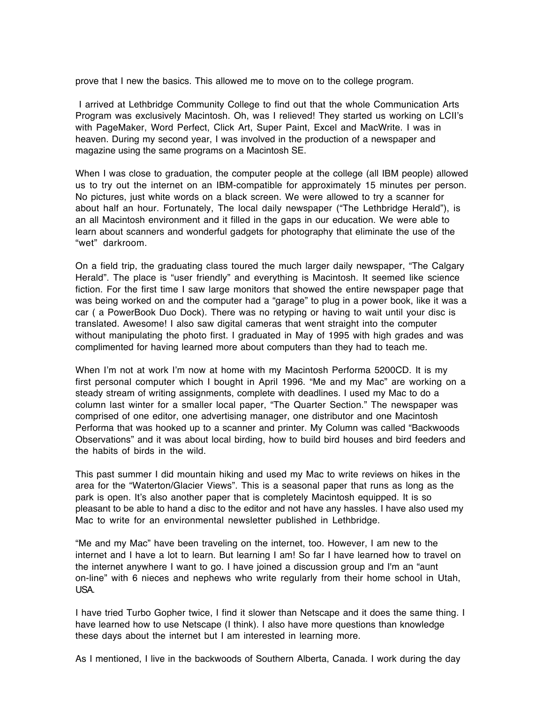prove that I new the basics. This allowed me to move on to the college program.

I arrived at Lethbridge Community College to find out that the whole Communication Arts Program was exclusively Macintosh. Oh, was I relieved! They started us working on LCII's with PageMaker, Word Perfect, Click Art, Super Paint, Excel and MacWrite. I was in heaven. During my second year, I was involved in the production of a newspaper and magazine using the same programs on a Macintosh SE.

When I was close to graduation, the computer people at the college (all IBM people) allowed us to try out the internet on an IBM-compatible for approximately 15 minutes per person. No pictures, just white words on a black screen. We were allowed to try a scanner for about half an hour. Fortunately, The local daily newspaper ("The Lethbridge Herald"), is an all Macintosh environment and it filled in the gaps in our education. We were able to learn about scanners and wonderful gadgets for photography that eliminate the use of the "wet" darkroom.

On a field trip, the graduating class toured the much larger daily newspaper, "The Calgary Herald". The place is "user friendly" and everything is Macintosh. It seemed like science fiction. For the first time I saw large monitors that showed the entire newspaper page that was being worked on and the computer had a "garage" to plug in a power book, like it was a car ( a PowerBook Duo Dock). There was no retyping or having to wait until your disc is translated. Awesome! I also saw digital cameras that went straight into the computer without manipulating the photo first. I graduated in May of 1995 with high grades and was complimented for having learned more about computers than they had to teach me.

When I'm not at work I'm now at home with my Macintosh Performa 5200CD. It is my first personal computer which I bought in April 1996. "Me and my Mac" are working on a steady stream of writing assignments, complete with deadlines. I used my Mac to do a column last winter for a smaller local paper, "The Quarter Section." The newspaper was comprised of one editor, one advertising manager, one distributor and one Macintosh Performa that was hooked up to a scanner and printer. My Column was called "Backwoods Observations" and it was about local birding, how to build bird houses and bird feeders and the habits of birds in the wild.

This past summer I did mountain hiking and used my Mac to write reviews on hikes in the area for the "Waterton/Glacier Views". This is a seasonal paper that runs as long as the park is open. It's also another paper that is completely Macintosh equipped. It is so pleasant to be able to hand a disc to the editor and not have any hassles. I have also used my Mac to write for an environmental newsletter published in Lethbridge.

"Me and my Mac" have been traveling on the internet, too. However, I am new to the internet and I have a lot to learn. But learning I am! So far I have learned how to travel on the internet anywhere I want to go. I have joined a discussion group and I'm an "aunt on-line" with 6 nieces and nephews who write regularly from their home school in Utah, USA.

I have tried Turbo Gopher twice, I find it slower than Netscape and it does the same thing. I have learned how to use Netscape (I think). I also have more questions than knowledge these days about the internet but I am interested in learning more.

As I mentioned, I live in the backwoods of Southern Alberta, Canada. I work during the day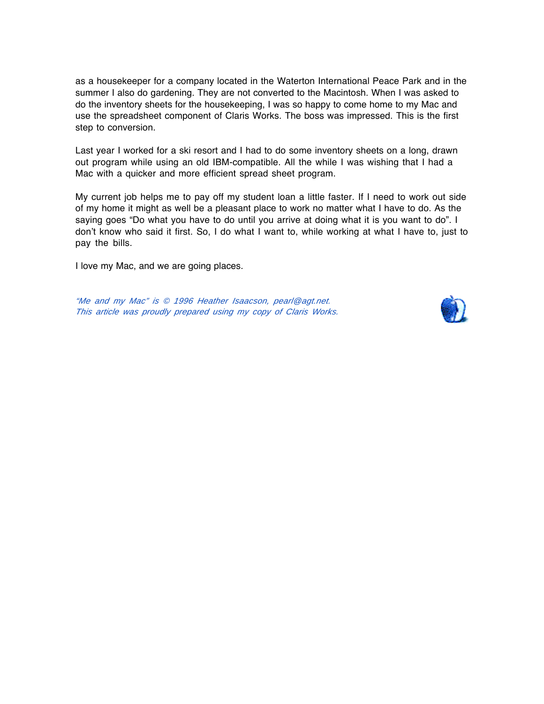as a housekeeper for a company located in the Waterton International Peace Park and in the summer I also do gardening. They are not converted to the Macintosh. When I was asked to do the inventory sheets for the housekeeping, I was so happy to come home to my Mac and use the spreadsheet component of Claris Works. The boss was impressed. This is the first step to conversion.

Last year I worked for a ski resort and I had to do some inventory sheets on a long, drawn out program while using an old IBM-compatible. All the while I was wishing that I had a Mac with a quicker and more efficient spread sheet program.

My current job helps me to pay off my student loan a little faster. If I need to work out side of my home it might as well be a pleasant place to work no matter what I have to do. As the saying goes "Do what you have to do until you arrive at doing what it is you want to do". I don't know who said it first. So, I do what I want to, while working at what I have to, just to pay the bills.

I love my Mac, and we are going places.

"Me and my Mac" is © 1996 Heather Isaacson, pearl@agt.net. This article was proudly prepared using my copy of Claris Works.

![](_page_22_Picture_5.jpeg)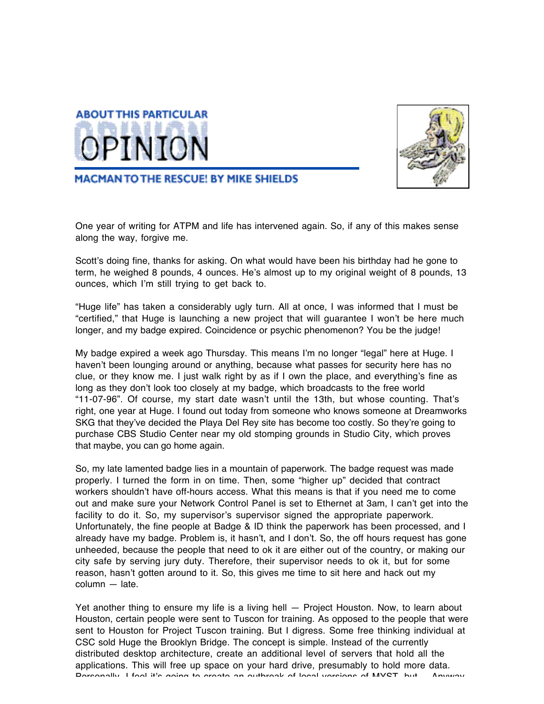![](_page_23_Picture_0.jpeg)

![](_page_23_Picture_1.jpeg)

**MACMAN TO THE RESCUE! BY MIKE SHIELDS** 

One year of writing for ATPM and life has intervened again. So, if any of this makes sense along the way, forgive me.

Scott's doing fine, thanks for asking. On what would have been his birthday had he gone to term, he weighed 8 pounds, 4 ounces. He's almost up to my original weight of 8 pounds, 13 ounces, which I'm still trying to get back to.

"Huge life" has taken a considerably ugly turn. All at once, I was informed that I must be "certified," that Huge is launching a new project that will guarantee I won't be here much longer, and my badge expired. Coincidence or psychic phenomenon? You be the judge!

My badge expired a week ago Thursday. This means I'm no longer "legal" here at Huge. I haven't been lounging around or anything, because what passes for security here has no clue, or they know me. I just walk right by as if I own the place, and everything's fine as long as they don't look too closely at my badge, which broadcasts to the free world "11-07-96". Of course, my start date wasn't until the 13th, but whose counting. That's right, one year at Huge. I found out today from someone who knows someone at Dreamworks SKG that they've decided the Playa Del Rey site has become too costly. So they're going to purchase CBS Studio Center near my old stomping grounds in Studio City, which proves that maybe, you can go home again.

So, my late lamented badge lies in a mountain of paperwork. The badge request was made properly. I turned the form in on time. Then, some "higher up" decided that contract workers shouldn't have off-hours access. What this means is that if you need me to come out and make sure your Network Control Panel is set to Ethernet at 3am, I can't get into the facility to do it. So, my supervisor's supervisor signed the appropriate paperwork. Unfortunately, the fine people at Badge & ID think the paperwork has been processed, and I already have my badge. Problem is, it hasn't, and I don't. So, the off hours request has gone unheeded, because the people that need to ok it are either out of the country, or making our city safe by serving jury duty. Therefore, their supervisor needs to ok it, but for some reason, hasn't gotten around to it. So, this gives me time to sit here and hack out my column — late.

Yet another thing to ensure my life is a living hell — Project Houston. Now, to learn about Houston, certain people were sent to Tuscon for training. As opposed to the people that were sent to Houston for Project Tuscon training. But I digress. Some free thinking individual at CSC sold Huge the Brooklyn Bridge. The concept is simple. Instead of the currently distributed desktop architecture, create an additional level of servers that hold all the applications. This will free up space on your hard drive, presumably to hold more data. Personally I feel it's going to create an outbreak of local versions of MYST but Anyway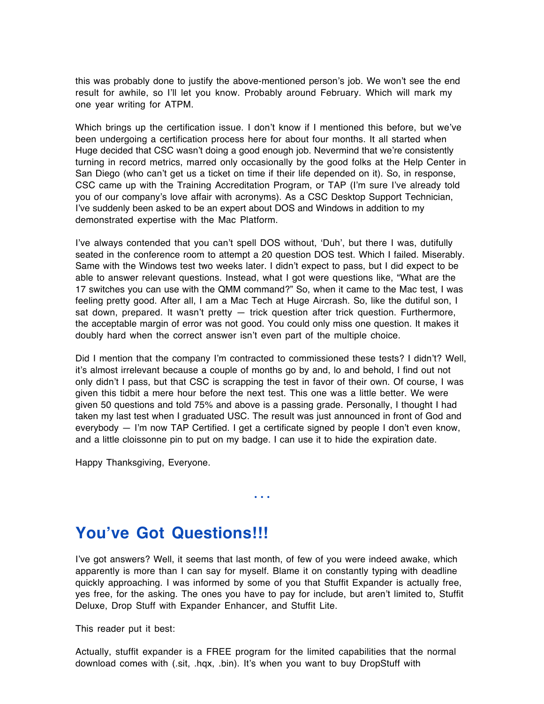this was probably done to justify the above-mentioned person's job. We won't see the end result for awhile, so I'll let you know. Probably around February. Which will mark my one year writing for ATPM.

Which brings up the certification issue. I don't know if I mentioned this before, but we've been undergoing a certification process here for about four months. It all started when Huge decided that CSC wasn't doing a good enough job. Nevermind that we're consistently turning in record metrics, marred only occasionally by the good folks at the Help Center in San Diego (who can't get us a ticket on time if their life depended on it). So, in response, CSC came up with the Training Accreditation Program, or TAP (I'm sure I've already told you of our company's love affair with acronyms). As a CSC Desktop Support Technician, I've suddenly been asked to be an expert about DOS and Windows in addition to my demonstrated expertise with the Mac Platform.

I've always contended that you can't spell DOS without, 'Duh', but there I was, dutifully seated in the conference room to attempt a 20 question DOS test. Which I failed. Miserably. Same with the Windows test two weeks later. I didn't expect to pass, but I did expect to be able to answer relevant questions. Instead, what I got were questions like, "What are the 17 switches you can use with the QMM command?" So, when it came to the Mac test, I was feeling pretty good. After all, I am a Mac Tech at Huge Aircrash. So, like the dutiful son, I sat down, prepared. It wasn't pretty - trick question after trick question. Furthermore, the acceptable margin of error was not good. You could only miss one question. It makes it doubly hard when the correct answer isn't even part of the multiple choice.

Did I mention that the company I'm contracted to commissioned these tests? I didn't? Well, it's almost irrelevant because a couple of months go by and, lo and behold, I find out not only didn't I pass, but that CSC is scrapping the test in favor of their own. Of course, I was given this tidbit a mere hour before the next test. This one was a little better. We were given 50 questions and told 75% and above is a passing grade. Personally, I thought I had taken my last test when I graduated USC. The result was just announced in front of God and everybody — I'm now TAP Certified. I get a certificate signed by people I don't even know, and a little cloissonne pin to put on my badge. I can use it to hide the expiration date.

Happy Thanksgiving, Everyone.

### **You've Got Questions!!!**

I've got answers? Well, it seems that last month, of few of you were indeed awake, which apparently is more than I can say for myself. Blame it on constantly typing with deadline quickly approaching. I was informed by some of you that Stuffit Expander is actually free, yes free, for the asking. The ones you have to pay for include, but aren't limited to, Stuffit Deluxe, Drop Stuff with Expander Enhancer, and Stuffit Lite.

• • •

This reader put it best:

Actually, stuffit expander is a FREE program for the limited capabilities that the normal download comes with (.sit, .hqx, .bin). It's when you want to buy DropStuff with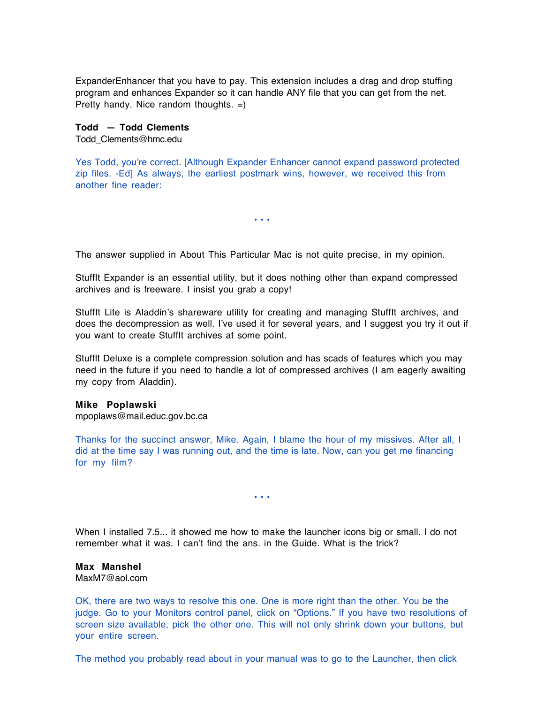ExpanderEnhancer that you have to pay. This extension includes a drag and drop stuffing program and enhances Expander so it can handle ANY file that you can get from the net. Pretty handy. Nice random thoughts. =)

**Todd — Todd Clements** Todd\_Clements@hmc.edu

Yes Todd, you're correct. [Although Expander Enhancer cannot expand password protected zip files. -Ed] As always, the earliest postmark wins, however, we received this from another fine reader:

• • •

The answer supplied in About This Particular Mac is not quite precise, in my opinion.

StuffIt Expander is an essential utility, but it does nothing other than expand compressed archives and is freeware. I insist you grab a copy!

StuffIt Lite is Aladdin's shareware utility for creating and managing StuffIt archives, and does the decompression as well. I've used it for several years, and I suggest you try it out if you want to create StuffIt archives at some point.

StuffIt Deluxe is a complete compression solution and has scads of features which you may need in the future if you need to handle a lot of compressed archives (I am eagerly awaiting my copy from Aladdin).

#### **Mike Poplawski**

mpoplaws@mail.educ.gov.bc.ca

Thanks for the succinct answer, Mike. Again, I blame the hour of my missives. After all, I did at the time say I was running out, and the time is late. Now, can you get me financing for my film?

• • •

When I installed 7.5... it showed me how to make the launcher icons big or small. I do not remember what it was. I can't find the ans. in the Guide. What is the trick?

#### **Max Manshel**

MaxM7@aol.com

OK, there are two ways to resolve this one. One is more right than the other. You be the judge. Go to your Monitors control panel, click on "Options." If you have two resolutions of screen size available, pick the other one. This will not only shrink down your buttons, but your entire screen.

The method you probably read about in your manual was to go to the Launcher, then click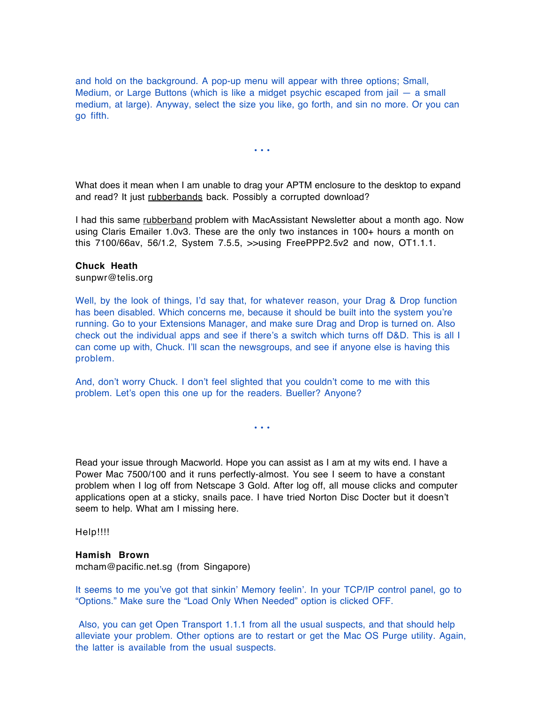and hold on the background. A pop-up menu will appear with three options; Small, Medium, or Large Buttons (which is like a midget psychic escaped from jail — a small medium, at large). Anyway, select the size you like, go forth, and sin no more. Or you can go fifth.

• • •

What does it mean when I am unable to drag your APTM enclosure to the desktop to expand and read? It just rubberbands back. Possibly a corrupted download?

I had this same rubberband problem with MacAssistant Newsletter about a month ago. Now using Claris Emailer 1.0v3. These are the only two instances in 100+ hours a month on this 7100/66av, 56/1.2, System 7.5.5, >>using FreePPP2.5v2 and now, OT1.1.1.

#### **Chuck Heath**

sunpwr@telis.org

Well, by the look of things, I'd say that, for whatever reason, your Drag & Drop function has been disabled. Which concerns me, because it should be built into the system you're running. Go to your Extensions Manager, and make sure Drag and Drop is turned on. Also check out the individual apps and see if there's a switch which turns off D&D. This is all I can come up with, Chuck. I'll scan the newsgroups, and see if anyone else is having this problem.

And, don't worry Chuck. I don't feel slighted that you couldn't come to me with this problem. Let's open this one up for the readers. Bueller? Anyone?

• • •

Read your issue through Macworld. Hope you can assist as I am at my wits end. I have a Power Mac 7500/100 and it runs perfectly-almost. You see I seem to have a constant problem when I log off from Netscape 3 Gold. After log off, all mouse clicks and computer applications open at a sticky, snails pace. I have tried Norton Disc Docter but it doesn't seem to help. What am I missing here.

Help!!!!

#### **Hamish Brown**

mcham@pacific.net.sg (from Singapore)

It seems to me you've got that sinkin' Memory feelin'. In your TCP/IP control panel, go to "Options." Make sure the "Load Only When Needed" option is clicked OFF.

Also, you can get Open Transport 1.1.1 from all the usual suspects, and that should help alleviate your problem. Other options are to restart or get the Mac OS Purge utility. Again, the latter is available from the usual suspects.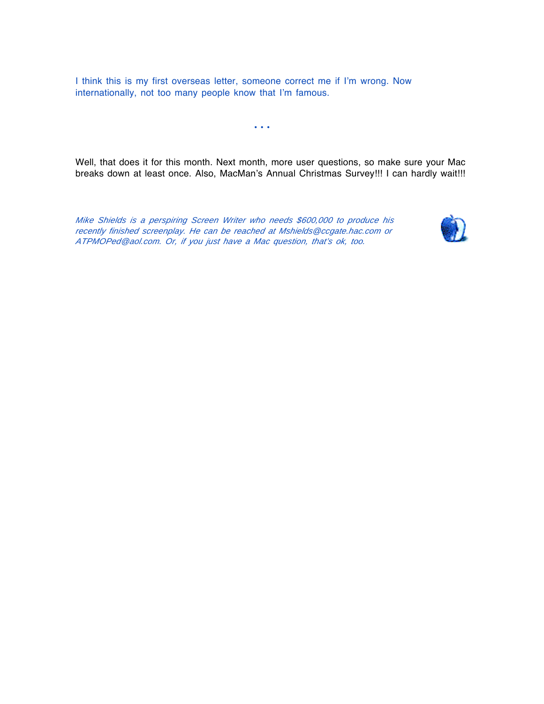I think this is my first overseas letter, someone correct me if I'm wrong. Now internationally, not too many people know that I'm famous.

• • •

Well, that does it for this month. Next month, more user questions, so make sure your Mac breaks down at least once. Also, MacMan's Annual Christmas Survey!!! I can hardly wait!!!

Mike Shields is <sup>a</sup> perspiring Screen Writer who needs \$600,000 to produce his recently finished screenplay. He can be reached at Mshields@ccgate.hac.com or ATPMOPed@aol.com. Or, if you just have <sup>a</sup> Mac question, that's ok, too.

![](_page_27_Picture_4.jpeg)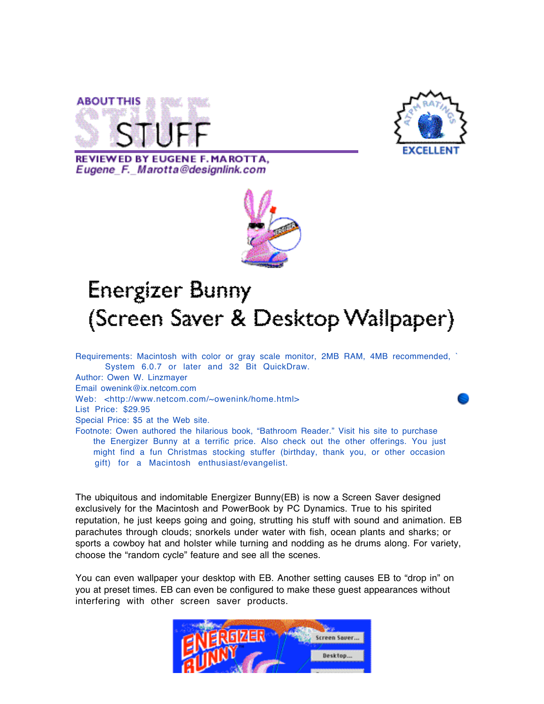![](_page_28_Picture_0.jpeg)

![](_page_28_Picture_1.jpeg)

**REVIEWED BY EUGENE F. MAROTTA.** Eugene F. Marotta@designlink.com

gift) for a Macintosh enthusiast/evangelist.

![](_page_28_Picture_3.jpeg)

### **Energizer Bunny** (Screen Saver & Desktop Wallpaper)

Requirements: Macintosh with color or gray scale monitor, 2MB RAM, 4MB recommended, ` System 6.0.7 or later and 32 Bit QuickDraw. Author: Owen W. Linzmayer Email owenink@ix.netcom.com Web: <http://www.netcom.com/~owenink/home.html> List Price: \$29.95 Special Price: \$5 at the Web site. Footnote: Owen authored the hilarious book, "Bathroom Reader." Visit his site to purchase the Energizer Bunny at a terrific price. Also check out the other offerings. You just might find a fun Christmas stocking stuffer (birthday, thank you, or other occasion

The ubiquitous and indomitable Energizer Bunny(EB) is now a Screen Saver designed exclusively for the Macintosh and PowerBook by PC Dynamics. True to his spirited reputation, he just keeps going and going, strutting his stuff with sound and animation. EB parachutes through clouds; snorkels under water with fish, ocean plants and sharks; or sports a cowboy hat and holster while turning and nodding as he drums along. For variety, choose the "random cycle" feature and see all the scenes.

You can even wallpaper your desktop with EB. Another setting causes EB to "drop in" on you at preset times. EB can even be configured to make these guest appearances without interfering with other screen saver products.

![](_page_28_Picture_8.jpeg)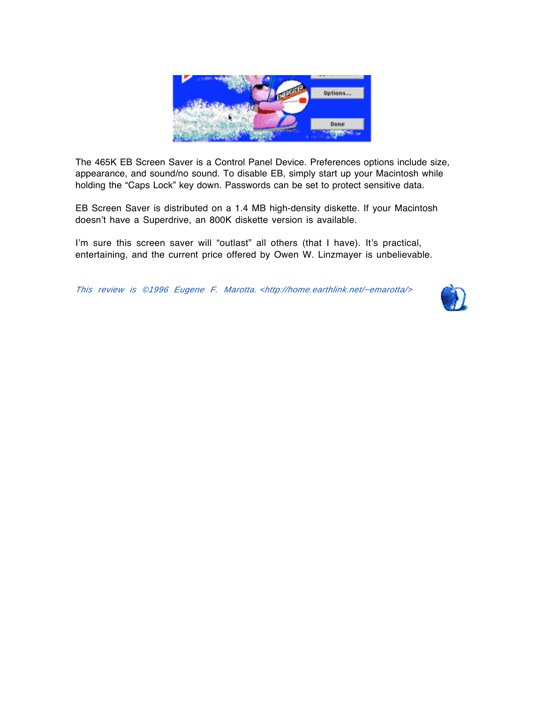![](_page_29_Picture_0.jpeg)

The 465K EB Screen Saver is a Control Panel Device. Preferences options include size, appearance, and sound/no sound. To disable EB, simply start up your Macintosh while holding the "Caps Lock" key down. Passwords can be set to protect sensitive data.

EB Screen Saver is distributed on a 1.4 MB high-density diskette. If your Macintosh doesn't have a Superdrive, an 800K diskette version is available.

I'm sure this screen saver will "outlast" all others (that I have). It's practical, entertaining, and the current price offered by Owen W. Linzmayer is unbelievable.

This review is ©1996 Eugene F. Marotta. <http://home.earthlink.net/~emarotta/>

![](_page_29_Picture_5.jpeg)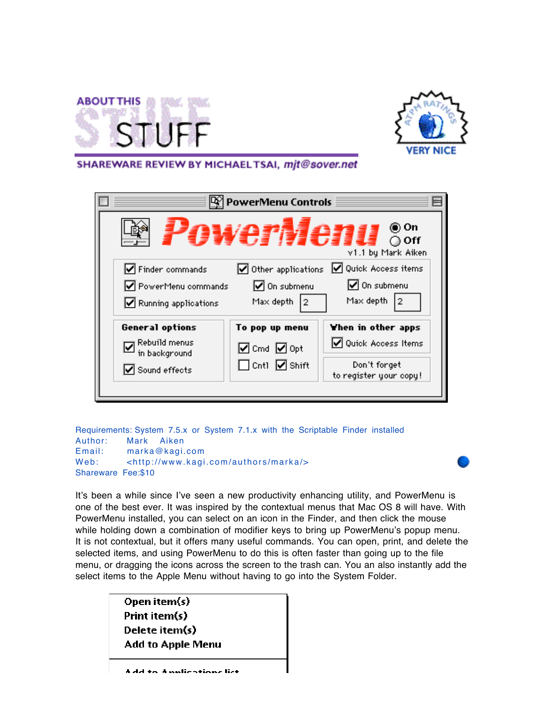![](_page_30_Picture_0.jpeg)

![](_page_30_Picture_1.jpeg)

#### SHAREWARE REVIEW BY MICHAELTSAI, mit@sover.net

Requirements: System 7.5.x or System 7.1.x with the Scriptable Finder installed Author: Mark Aiken Email: marka@kagi.com Web: <http://www.kagi.com/authors/marka/> Shareware Fee:\$10

It's been a while since I've seen a new productivity enhancing utility, and PowerMenu is one of the best ever. It was inspired by the contextual menus that Mac OS 8 will have. With PowerMenu installed, you can select on an icon in the Finder, and then click the mouse while holding down a combination of modifier keys to bring up PowerMenu's popup menu. It is not contextual, but it offers many useful commands. You can open, print, and delete the selected items, and using PowerMenu to do this is often faster than going up to the file menu, or dragging the icons across the screen to the trash can. You an also instantly add the select items to the Apple Menu without having to go into the System Folder.

> Open item(s) Print item(s) Delete item(s) Add to Apple Menu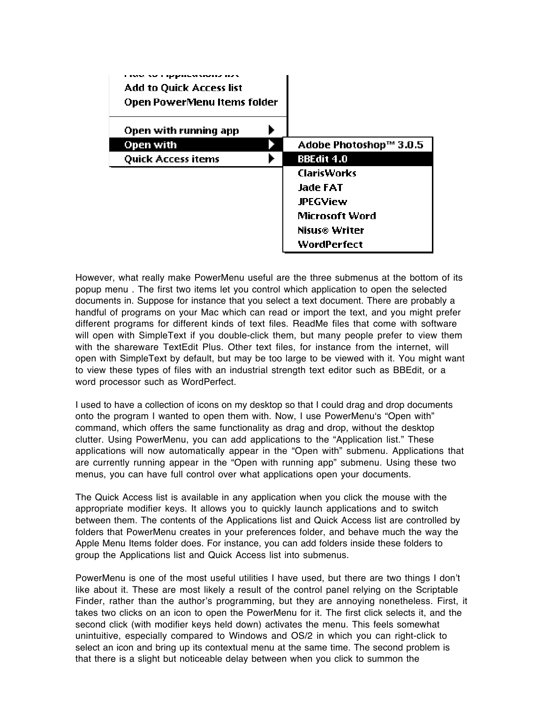| <b>Add to Quick Access list</b> |                        |
|---------------------------------|------------------------|
| Open PowerMenu Items folder     |                        |
| Open with running app           |                        |
| Open with                       | Adobe Photoshop™ 3.0.5 |
| <b>Quick Access items</b>       | <b>BBEdit 4.0</b>      |
|                                 | ClarisWorks            |
|                                 | Jade FAT               |
|                                 | <b>JPEGView</b>        |
|                                 | Microsoft Word         |
|                                 | Nisus® Writer          |
|                                 | WordPerfect            |

However, what really make PowerMenu useful are the three submenus at the bottom of its popup menu . The first two items let you control which application to open the selected documents in. Suppose for instance that you select a text document. There are probably a handful of programs on your Mac which can read or import the text, and you might prefer different programs for different kinds of text files. ReadMe files that come with software will open with SimpleText if you double-click them, but many people prefer to view them with the shareware TextEdit Plus. Other text files, for instance from the internet, will open with SimpleText by default, but may be too large to be viewed with it. You might want to view these types of files with an industrial strength text editor such as BBEdit, or a word processor such as WordPerfect.

I used to have a collection of icons on my desktop so that I could drag and drop documents onto the program I wanted to open them with. Now, I use PowerMenu's "Open with" command, which offers the same functionality as drag and drop, without the desktop clutter. Using PowerMenu, you can add applications to the "Application list." These applications will now automatically appear in the "Open with" submenu. Applications that are currently running appear in the "Open with running app" submenu. Using these two menus, you can have full control over what applications open your documents.

The Quick Access list is available in any application when you click the mouse with the appropriate modifier keys. It allows you to quickly launch applications and to switch between them. The contents of the Applications list and Quick Access list are controlled by folders that PowerMenu creates in your preferences folder, and behave much the way the Apple Menu Items folder does. For instance, you can add folders inside these folders to group the Applications list and Quick Access list into submenus.

PowerMenu is one of the most useful utilities I have used, but there are two things I don't like about it. These are most likely a result of the control panel relying on the Scriptable Finder, rather than the author's programming, but they are annoying nonetheless. First, it takes two clicks on an icon to open the PowerMenu for it. The first click selects it, and the second click (with modifier keys held down) activates the menu. This feels somewhat unintuitive, especially compared to Windows and OS/2 in which you can right-click to select an icon and bring up its contextual menu at the same time. The second problem is that there is a slight but noticeable delay between when you click to summon the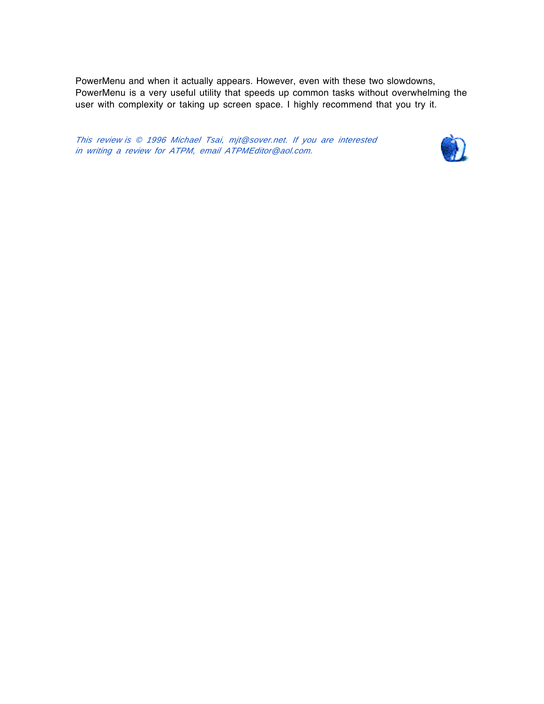PowerMenu and when it actually appears. However, even with these two slowdowns, PowerMenu is a very useful utility that speeds up common tasks without overwhelming the user with complexity or taking up screen space. I highly recommend that you try it.

This review is © 1996 Michael Tsai, mjt@sover.net. If you are interested in writing <sup>a</sup> review for ATPM, email ATPMEditor@aol.com.

![](_page_32_Picture_2.jpeg)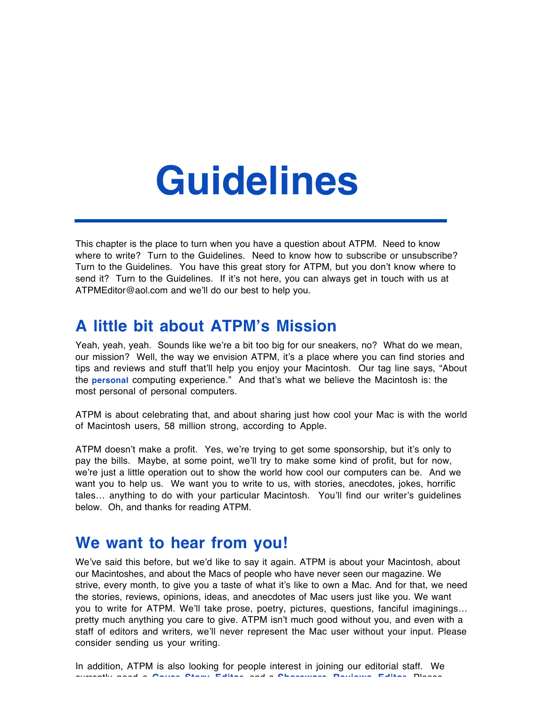# **Guidelines**

This chapter is the place to turn when you have a question about ATPM. Need to know where to write? Turn to the Guidelines. Need to know how to subscribe or unsubscribe? Turn to the Guidelines. You have this great story for ATPM, but you don't know where to send it? Turn to the Guidelines. If it's not here, you can always get in touch with us at ATPMEditor@aol.com and we'll do our best to help you.

### **A little bit about ATPM's Mission**

Yeah, yeah, yeah. Sounds like we're a bit too big for our sneakers, no? What do we mean, our mission? Well, the way we envision ATPM, it's a place where you can find stories and tips and reviews and stuff that'll help you enjoy your Macintosh. Our tag line says, "About the **personal** computing experience." And that's what we believe the Macintosh is: the most personal of personal computers.

ATPM is about celebrating that, and about sharing just how cool your Mac is with the world of Macintosh users, 58 million strong, according to Apple.

ATPM doesn't make a profit. Yes, we're trying to get some sponsorship, but it's only to pay the bills. Maybe, at some point, we'll try to make some kind of profit, but for now, we're just a little operation out to show the world how cool our computers can be. And we want you to help us. We want you to write to us, with stories, anecdotes, jokes, horrific tales… anything to do with your particular Macintosh. You'll find our writer's guidelines below. Oh, and thanks for reading ATPM.

### **We want to hear from you!**

We've said this before, but we'd like to say it again. ATPM is about your Macintosh, about our Macintoshes, and about the Macs of people who have never seen our magazine. We strive, every month, to give you a taste of what it's like to own a Mac. And for that, we need the stories, reviews, opinions, ideas, and anecdotes of Mac users just like you. We want you to write for ATPM. We'll take prose, poetry, pictures, questions, fanciful imaginings… pretty much anything you care to give. ATPM isn't much good without you, and even with a staff of editors and writers, we'll never represent the Mac user without your input. Please consider sending us your writing.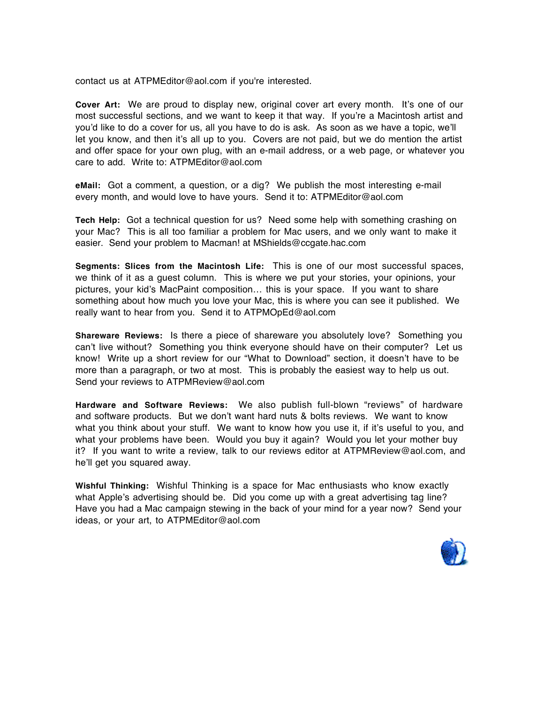contact us at ATPMEditor@aol.com if you're interested.

**Cover Art:** We are proud to display new, original cover art every month. It's one of our most successful sections, and we want to keep it that way. If you're a Macintosh artist and you'd like to do a cover for us, all you have to do is ask. As soon as we have a topic, we'll let you know, and then it's all up to you. Covers are not paid, but we do mention the artist and offer space for your own plug, with an e-mail address, or a web page, or whatever you care to add. Write to: ATPMEditor@aol.com

**eMail:** Got a comment, a question, or a dig? We publish the most interesting e-mail every month, and would love to have yours. Send it to: ATPMEditor@aol.com

**Tech Help:** Got a technical question for us? Need some help with something crashing on your Mac? This is all too familiar a problem for Mac users, and we only want to make it easier. Send your problem to Macman! at MShields@ccgate.hac.com

**Segments: Slices from the Macintosh Life:** This is one of our most successful spaces, we think of it as a guest column. This is where we put your stories, your opinions, your pictures, your kid's MacPaint composition… this is your space. If you want to share something about how much you love your Mac, this is where you can see it published. We really want to hear from you. Send it to ATPMOpEd@aol.com

**Shareware Reviews:** Is there a piece of shareware you absolutely love? Something you can't live without? Something you think everyone should have on their computer? Let us know! Write up a short review for our "What to Download" section, it doesn't have to be more than a paragraph, or two at most. This is probably the easiest way to help us out. Send your reviews to ATPMReview@aol.com

**Hardware and Software Reviews:** We also publish full-blown "reviews" of hardware and software products. But we don't want hard nuts & bolts reviews. We want to know what you think about your stuff. We want to know how you use it, if it's useful to you, and what your problems have been. Would you buy it again? Would you let your mother buy it? If you want to write a review, talk to our reviews editor at ATPMReview@aol.com, and he'll get you squared away.

**Wishful Thinking:** Wishful Thinking is a space for Mac enthusiasts who know exactly what Apple's advertising should be. Did you come up with a great advertising tag line? Have you had a Mac campaign stewing in the back of your mind for a year now? Send your ideas, or your art, to ATPMEditor@aol.com

![](_page_34_Picture_8.jpeg)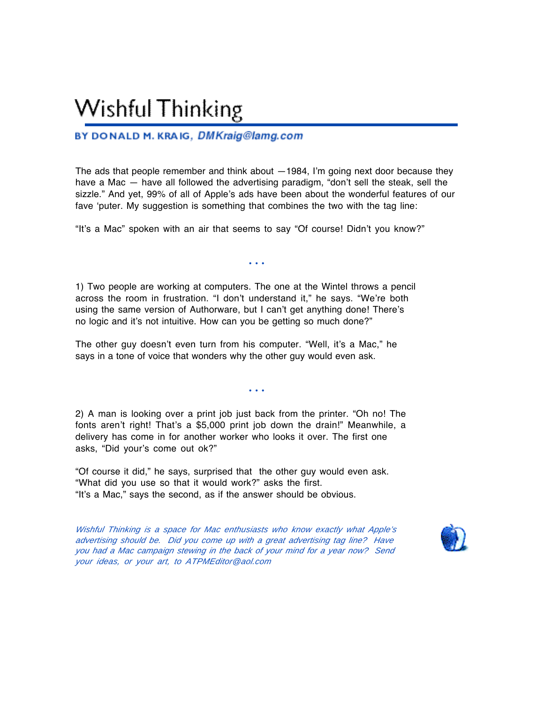### **Wishful Thinking**

#### BY DONALD M. KRAIG, DMKraig@lamg.com

The ads that people remember and think about  $-1984$ , I'm going next door because they have a Mac — have all followed the advertising paradigm, "don't sell the steak, sell the sizzle." And yet, 99% of all of Apple's ads have been about the wonderful features of our fave 'puter. My suggestion is something that combines the two with the tag line:

"It's a Mac" spoken with an air that seems to say "Of course! Didn't you know?"

• • •

1) Two people are working at computers. The one at the Wintel throws a pencil across the room in frustration. "I don't understand it," he says. "We're both using the same version of Authorware, but I can't get anything done! There's no logic and it's not intuitive. How can you be getting so much done?"

The other guy doesn't even turn from his computer. "Well, it's a Mac," he says in a tone of voice that wonders why the other guy would even ask.

• • •

2) A man is looking over a print job just back from the printer. "Oh no! The fonts aren't right! That's a \$5,000 print job down the drain!" Meanwhile, a delivery has come in for another worker who looks it over. The first one asks, "Did your's come out ok?"

"Of course it did," he says, surprised that the other guy would even ask. "What did you use so that it would work?" asks the first. "It's a Mac," says the second, as if the answer should be obvious.

Wishful Thinking is <sup>a</sup> space for Mac enthusiasts who know exactly what Apple's advertising should be. Did you come up with <sup>a</sup> great advertising tag line? Have you had <sup>a</sup> Mac campaign stewing in the back of your mind for <sup>a</sup> year now? Send your ideas, or your art, to ATPMEditor@aol.com

![](_page_35_Picture_11.jpeg)